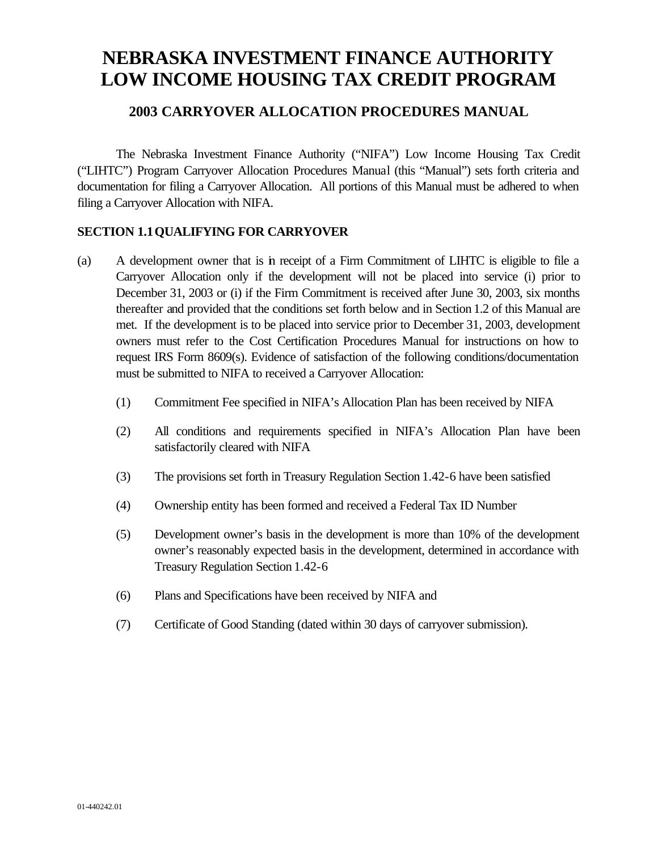# **NEBRASKA INVESTMENT FINANCE AUTHORITY LOW INCOME HOUSING TAX CREDIT PROGRAM**

# **2003 CARRYOVER ALLOCATION PROCEDURES MANUAL**

The Nebraska Investment Finance Authority ("NIFA") Low Income Housing Tax Credit ("LIHTC") Program Carryover Allocation Procedures Manual (this "Manual") sets forth criteria and documentation for filing a Carryover Allocation. All portions of this Manual must be adhered to when filing a Carryover Allocation with NIFA.

# **SECTION 1.1QUALIFYING FOR CARRYOVER**

- (a) A development owner that is in receipt of a Firm Commitment of LIHTC is eligible to file a Carryover Allocation only if the development will not be placed into service (i) prior to December 31, 2003 or (i) if the Firm Commitment is received after June 30, 2003, six months thereafter and provided that the conditions set forth below and in Section 1.2 of this Manual are met. If the development is to be placed into service prior to December 31, 2003, development owners must refer to the Cost Certification Procedures Manual for instructions on how to request IRS Form 8609(s). Evidence of satisfaction of the following conditions/documentation must be submitted to NIFA to received a Carryover Allocation:
	- (1) Commitment Fee specified in NIFA's Allocation Plan has been received by NIFA
	- (2) All conditions and requirements specified in NIFA's Allocation Plan have been satisfactorily cleared with NIFA
	- (3) The provisions set forth in Treasury Regulation Section 1.42-6 have been satisfied
	- (4) Ownership entity has been formed and received a Federal Tax ID Number
	- (5) Development owner's basis in the development is more than 10% of the development owner's reasonably expected basis in the development, determined in accordance with Treasury Regulation Section 1.42-6
	- (6) Plans and Specifications have been received by NIFA and
	- (7) Certificate of Good Standing (dated within 30 days of carryover submission).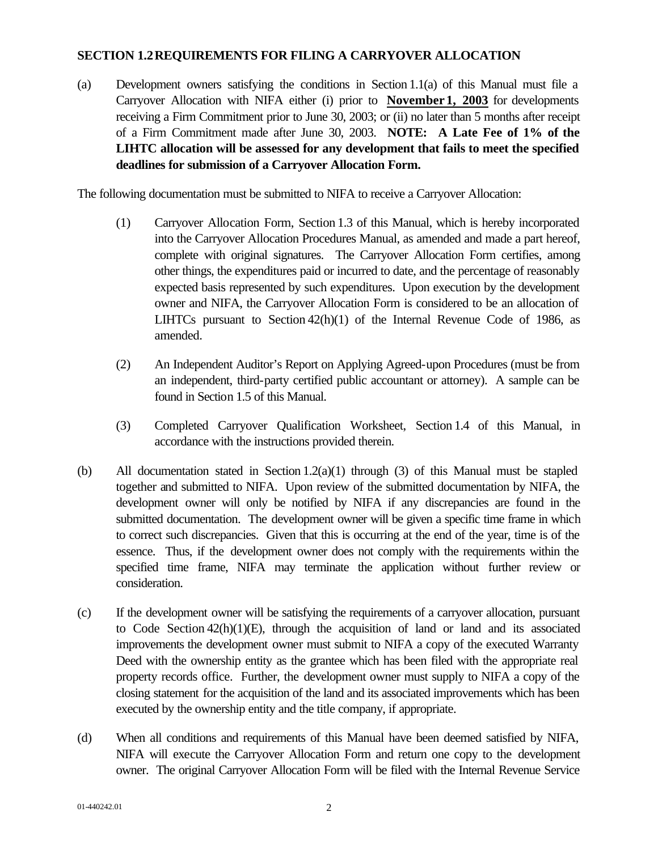## **SECTION 1.2REQUIREMENTS FOR FILING A CARRYOVER ALLOCATION**

(a) Development owners satisfying the conditions in Section 1.1(a) of this Manual must file a Carryover Allocation with NIFA either (i) prior to **November 1, 2003** for developments receiving a Firm Commitment prior to June 30, 2003; or (ii) no later than 5 months after receipt of a Firm Commitment made after June 30, 2003. **NOTE: A Late Fee of 1% of the LIHTC allocation will be assessed for any development that fails to meet the specified deadlines for submission of a Carryover Allocation Form.**

The following documentation must be submitted to NIFA to receive a Carryover Allocation:

- (1) Carryover Allocation Form, Section 1.3 of this Manual, which is hereby incorporated into the Carryover Allocation Procedures Manual, as amended and made a part hereof, complete with original signatures. The Carryover Allocation Form certifies, among other things, the expenditures paid or incurred to date, and the percentage of reasonably expected basis represented by such expenditures. Upon execution by the development owner and NIFA, the Carryover Allocation Form is considered to be an allocation of LIHTCs pursuant to Section 42(h)(1) of the Internal Revenue Code of 1986, as amended.
- (2) An Independent Auditor's Report on Applying Agreed-upon Procedures (must be from an independent, third-party certified public accountant or attorney). A sample can be found in Section 1.5 of this Manual.
- (3) Completed Carryover Qualification Worksheet, Section 1.4 of this Manual, in accordance with the instructions provided therein.
- (b) All documentation stated in Section  $1.2(a)(1)$  through (3) of this Manual must be stapled together and submitted to NIFA. Upon review of the submitted documentation by NIFA, the development owner will only be notified by NIFA if any discrepancies are found in the submitted documentation. The development owner will be given a specific time frame in which to correct such discrepancies. Given that this is occurring at the end of the year, time is of the essence. Thus, if the development owner does not comply with the requirements within the specified time frame, NIFA may terminate the application without further review or consideration.
- (c) If the development owner will be satisfying the requirements of a carryover allocation, pursuant to Code Section  $42(h)(1)(E)$ , through the acquisition of land or land and its associated improvements the development owner must submit to NIFA a copy of the executed Warranty Deed with the ownership entity as the grantee which has been filed with the appropriate real property records office. Further, the development owner must supply to NIFA a copy of the closing statement for the acquisition of the land and its associated improvements which has been executed by the ownership entity and the title company, if appropriate.
- (d) When all conditions and requirements of this Manual have been deemed satisfied by NIFA, NIFA will execute the Carryover Allocation Form and return one copy to the development owner. The original Carryover Allocation Form will be filed with the Internal Revenue Service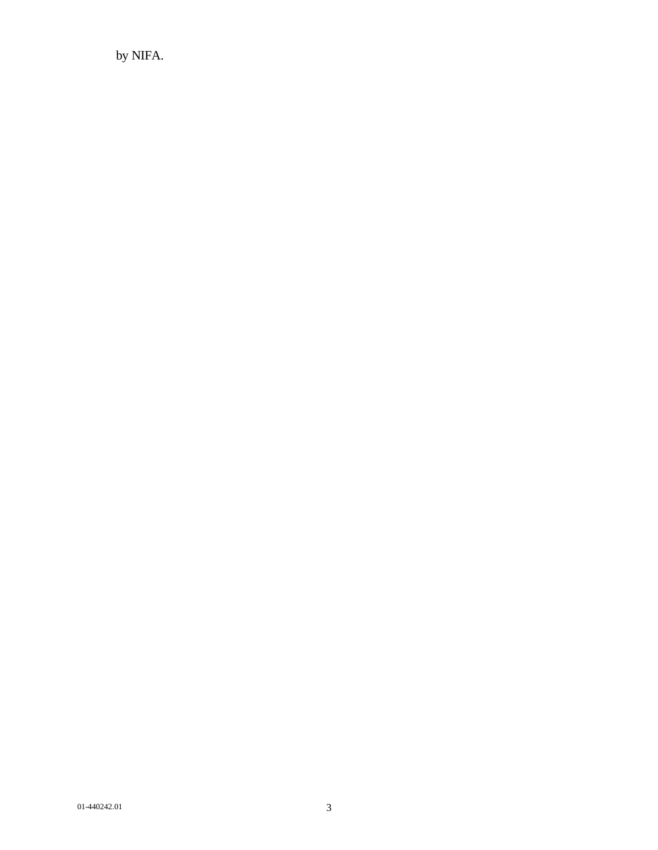by NIFA.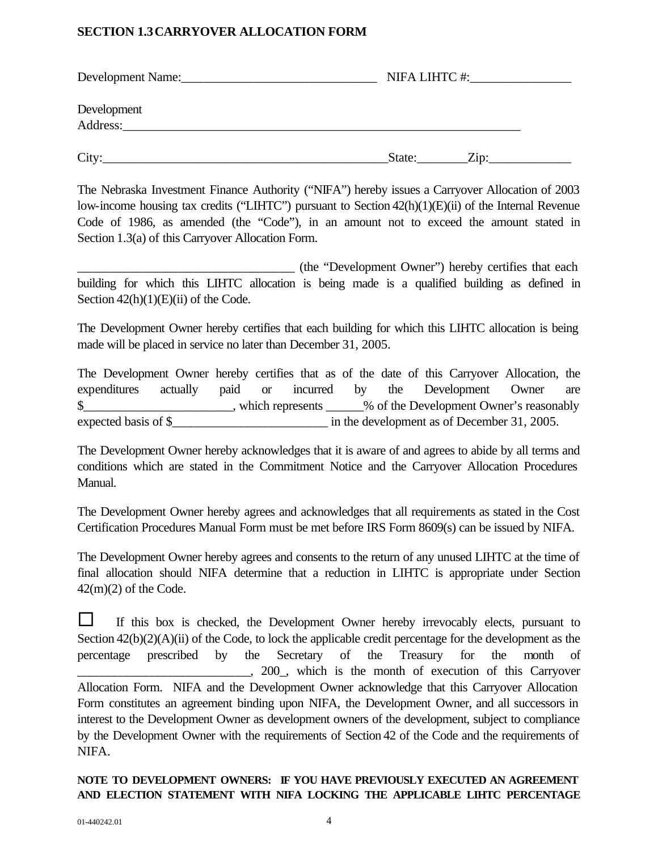# **SECTION 1.3CARRYOVER ALLOCATION FORM**

| Development Name:       |        |      |  |
|-------------------------|--------|------|--|
| Development<br>Address: |        |      |  |
| City:                   | State: | Zip: |  |

The Nebraska Investment Finance Authority ("NIFA") hereby issues a Carryover Allocation of 2003 low-income housing tax credits ("LIHTC") pursuant to Section 42(h)(1)(E)(ii) of the Internal Revenue Code of 1986, as amended (the "Code"), in an amount not to exceed the amount stated in Section 1.3(a) of this Carryover Allocation Form.

\_\_\_\_\_\_\_\_\_\_\_\_\_\_\_\_\_\_\_\_\_\_\_\_\_\_\_\_\_\_\_\_\_\_\_ (the "Development Owner") hereby certifies that each building for which this LIHTC allocation is being made is a qualified building as defined in Section  $42(h)(1)(E)(ii)$  of the Code.

The Development Owner hereby certifies that each building for which this LIHTC allocation is being made will be placed in service no later than December 31, 2005.

The Development Owner hereby certifies that as of the date of this Carryover Allocation, the expenditures actually paid or incurred by the Development Owner are \$ expected basis of \$\_\_\_\_\_\_\_\_\_\_\_\_\_\_\_\_\_\_\_\_\_\_\_\_\_ in the development as of December 31, 2005.

The Development Owner hereby acknowledges that it is aware of and agrees to abide by all terms and conditions which are stated in the Commitment Notice and the Carryover Allocation Procedures Manual.

The Development Owner hereby agrees and acknowledges that all requirements as stated in the Cost Certification Procedures Manual Form must be met before IRS Form 8609(s) can be issued by NIFA.

The Development Owner hereby agrees and consents to the return of any unused LIHTC at the time of final allocation should NIFA determine that a reduction in LIHTC is appropriate under Section  $42(m)(2)$  of the Code.

 $\Box$  If this box is checked, the Development Owner hereby irrevocably elects, pursuant to Section  $42(b)(2)(A)(ii)$  of the Code, to lock the applicable credit percentage for the development as the percentage prescribed by the Secretary of the Treasury for the month of \_\_\_\_\_\_\_\_\_\_\_\_\_\_\_\_\_\_\_\_\_\_\_\_\_\_\_\_, 200\_, which is the month of execution of this Carryover Allocation Form. NIFA and the Development Owner acknowledge that this Carryover Allocation Form constitutes an agreement binding upon NIFA, the Development Owner, and all successors in interest to the Development Owner as development owners of the development, subject to compliance by the Development Owner with the requirements of Section 42 of the Code and the requirements of NIFA.

# **NOTE TO DEVELOPMENT OWNERS: IF YOU HAVE PREVIOUSLY EXECUTED AN AGREEMENT AND ELECTION STATEMENT WITH NIFA LOCKING THE APPLICABLE LIHTC PERCENTAGE**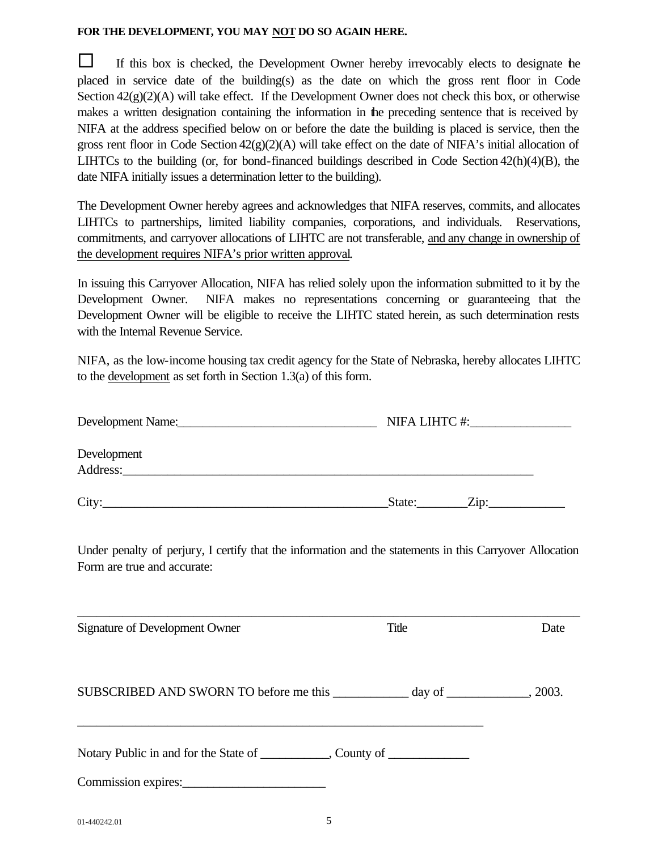#### **FOR THE DEVELOPMENT, YOU MAY NOT DO SO AGAIN HERE.**

 $\Box$  If this box is checked, the Development Owner hereby irrevocably elects to designate the placed in service date of the building(s) as the date on which the gross rent floor in Code Section  $42(g)(2)(A)$  will take effect. If the Development Owner does not check this box, or otherwise makes a written designation containing the information in the preceding sentence that is received by NIFA at the address specified below on or before the date the building is placed is service, then the gross rent floor in Code Section  $42(g)(2)(A)$  will take effect on the date of NIFA's initial allocation of LIHTCs to the building (or, for bond-financed buildings described in Code Section 42(h)(4)(B), the date NIFA initially issues a determination letter to the building).

The Development Owner hereby agrees and acknowledges that NIFA reserves, commits, and allocates LIHTCs to partnerships, limited liability companies, corporations, and individuals. Reservations, commitments, and carryover allocations of LIHTC are not transferable, and any change in ownership of the development requires NIFA's prior written approval.

In issuing this Carryover Allocation, NIFA has relied solely upon the information submitted to it by the Development Owner. NIFA makes no representations concerning or guaranteeing that the Development Owner will be eligible to receive the LIHTC stated herein, as such determination rests with the Internal Revenue Service.

NIFA, as the low-income housing tax credit agency for the State of Nebraska, hereby allocates LIHTC to the development as set forth in Section 1.3(a) of this form.

| Development Name:       |                | NIFA LIHTC #: |  |  |
|-------------------------|----------------|---------------|--|--|
| Development<br>Address: |                |               |  |  |
| City:                   | Zip:<br>State: |               |  |  |

Under penalty of perjury, I certify that the information and the statements in this Carryover Allocation Form are true and accurate:

| Signature of Development Owner                                                   | Title | Date |
|----------------------------------------------------------------------------------|-------|------|
| SUBSCRIBED AND SWORN TO before me this _____________ day of _____________, 2003. |       |      |
| Notary Public in and for the State of ___________, County of ___________         |       |      |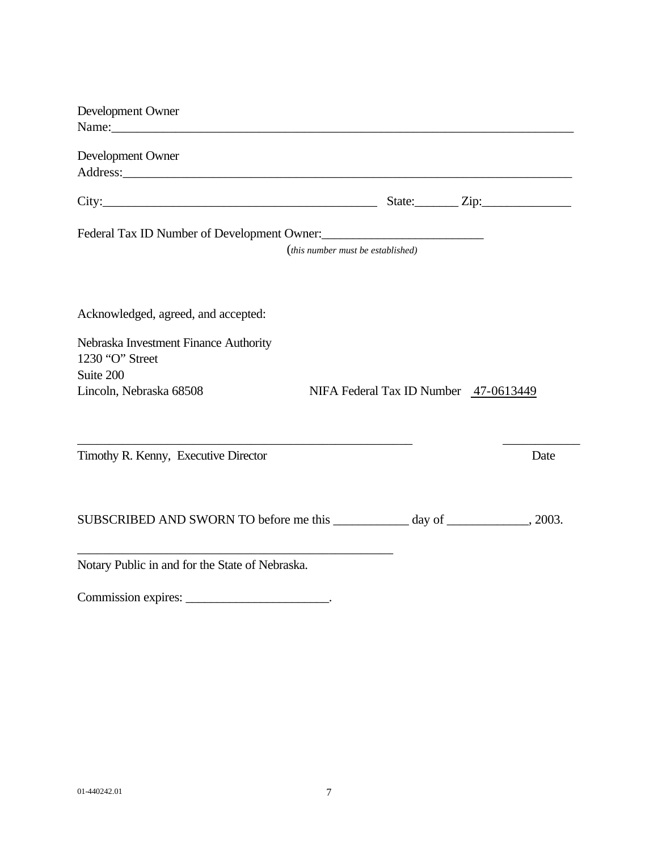| Development Owner                                                                                                                                                                                                              |                                   |                                       |      |
|--------------------------------------------------------------------------------------------------------------------------------------------------------------------------------------------------------------------------------|-----------------------------------|---------------------------------------|------|
| Name: Name and the state of the state of the state of the state of the state of the state of the state of the state of the state of the state of the state of the state of the state of the state of the state of the state of |                                   |                                       |      |
| Development Owner                                                                                                                                                                                                              |                                   |                                       |      |
|                                                                                                                                                                                                                                |                                   |                                       |      |
|                                                                                                                                                                                                                                |                                   |                                       |      |
|                                                                                                                                                                                                                                |                                   |                                       |      |
| Federal Tax ID Number of Development Owner:                                                                                                                                                                                    |                                   |                                       |      |
|                                                                                                                                                                                                                                | (this number must be established) |                                       |      |
|                                                                                                                                                                                                                                |                                   |                                       |      |
|                                                                                                                                                                                                                                |                                   |                                       |      |
| Acknowledged, agreed, and accepted:                                                                                                                                                                                            |                                   |                                       |      |
| Nebraska Investment Finance Authority                                                                                                                                                                                          |                                   |                                       |      |
| 1230 "O" Street                                                                                                                                                                                                                |                                   |                                       |      |
| Suite 200                                                                                                                                                                                                                      |                                   |                                       |      |
| Lincoln, Nebraska 68508                                                                                                                                                                                                        |                                   | NIFA Federal Tax ID Number 47-0613449 |      |
|                                                                                                                                                                                                                                |                                   |                                       |      |
|                                                                                                                                                                                                                                |                                   |                                       |      |
| Timothy R. Kenny, Executive Director                                                                                                                                                                                           |                                   |                                       | Date |
|                                                                                                                                                                                                                                |                                   |                                       |      |
|                                                                                                                                                                                                                                |                                   |                                       |      |
| SUBSCRIBED AND SWORN TO before me this ____________ day of ___________, 2003.                                                                                                                                                  |                                   |                                       |      |
|                                                                                                                                                                                                                                |                                   |                                       |      |
| Notary Public in and for the State of Nebraska.                                                                                                                                                                                |                                   |                                       |      |

Commission expires: \_\_\_\_\_\_\_\_\_\_\_\_\_\_\_\_\_\_\_\_\_\_\_.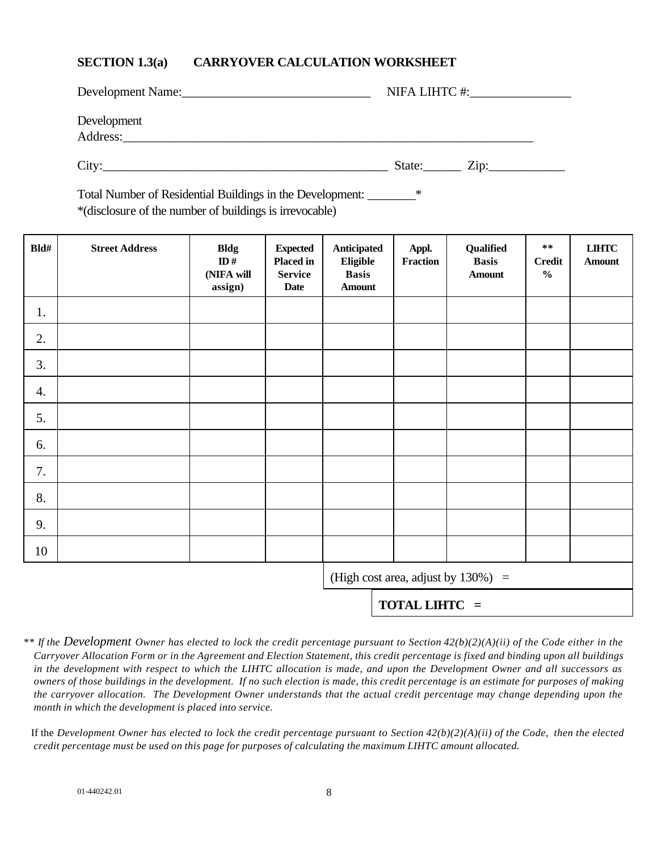# **SECTION 1.3(a) CARRYOVER CALCULATION WORKSHEET**

| Development Name:       | NIFA LIHTC #:  |
|-------------------------|----------------|
| Development<br>Address: |                |
| City <sup>·</sup>       | Zip:<br>State: |

Total Number of Residential Buildings in the Development: \_\_\_\_\_\_\_\_\* \*(disclosure of the number of buildings is irrevocable)

| Bld# | <b>Street Address</b> | <b>Bldg</b><br>ID#<br>(NIFA will<br>assign) | <b>Expected</b><br><b>Placed in</b><br><b>Service</b><br><b>Date</b> | Anticipated<br>Eligible<br><b>Basis</b><br><b>Amount</b> | Appl.<br>Fraction    | Qualified<br><b>Basis</b><br><b>Amount</b> | $\ast\ast$<br><b>Credit</b><br>$\frac{0}{0}$ | $LIHTC$<br><b>Amount</b> |
|------|-----------------------|---------------------------------------------|----------------------------------------------------------------------|----------------------------------------------------------|----------------------|--------------------------------------------|----------------------------------------------|--------------------------|
| 1.   |                       |                                             |                                                                      |                                                          |                      |                                            |                                              |                          |
| 2.   |                       |                                             |                                                                      |                                                          |                      |                                            |                                              |                          |
| 3.   |                       |                                             |                                                                      |                                                          |                      |                                            |                                              |                          |
| 4.   |                       |                                             |                                                                      |                                                          |                      |                                            |                                              |                          |
| 5.   |                       |                                             |                                                                      |                                                          |                      |                                            |                                              |                          |
| 6.   |                       |                                             |                                                                      |                                                          |                      |                                            |                                              |                          |
| 7.   |                       |                                             |                                                                      |                                                          |                      |                                            |                                              |                          |
| 8.   |                       |                                             |                                                                      |                                                          |                      |                                            |                                              |                          |
| 9.   |                       |                                             |                                                                      |                                                          |                      |                                            |                                              |                          |
| 10   |                       |                                             |                                                                      |                                                          |                      |                                            |                                              |                          |
|      |                       |                                             |                                                                      |                                                          |                      | (High cost area, adjust by $130\%)$ =      |                                              |                          |
|      |                       |                                             |                                                                      |                                                          | <b>TOTAL LIHTC</b> = |                                            |                                              |                          |

*\*\* If the Development Owner has elected to lock the credit percentage pursuant to Section 42(b)(2)(A)(ii) of the Code either in the Carryover Allocation Form or in the Agreement and Election Statement, this credit percentage is fixed and binding upon all buildings in the development with respect to which the LIHTC allocation is made, and upon the Development Owner and all successors as owners of those buildings in the development. If no such election is made, this credit percentage is an estimate for purposes of making the carryover allocation. The Development Owner understands that the actual credit percentage may change depending upon the month in which the development is placed into service.*

If the *Development Owner has elected to lock the credit percentage pursuant to Section*  $42(b)(2)(A)(ii)$  of the Code, then the elected *credit percentage must be used on this page for purposes of calculating the maximum LIHTC amount allocated.*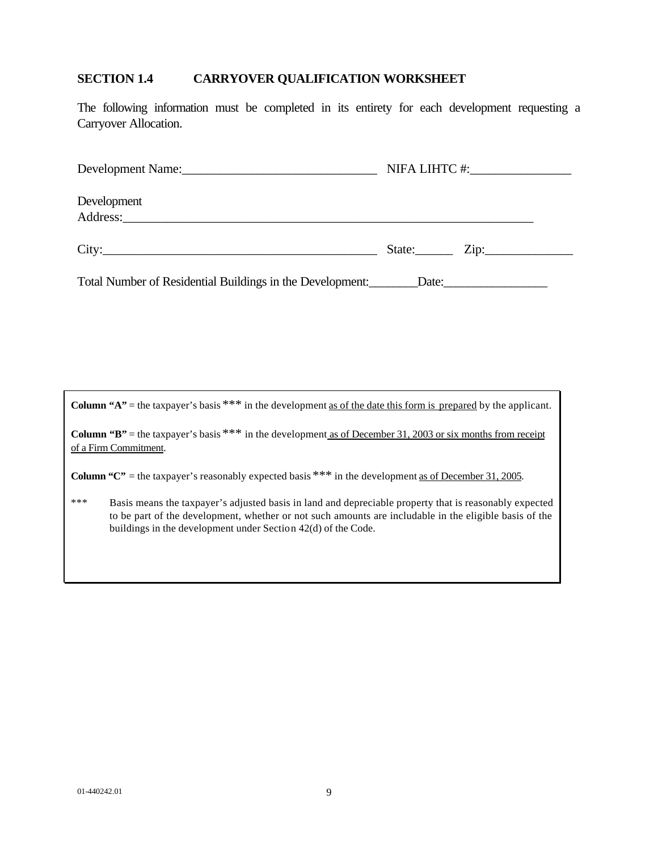# **SECTION 1.4 CARRYOVER QUALIFICATION WORKSHEET**

The following information must be completed in its entirety for each development requesting a Carryover Allocation.

| Development Name:                                                                                                                                                                                                                             |                                |
|-----------------------------------------------------------------------------------------------------------------------------------------------------------------------------------------------------------------------------------------------|--------------------------------|
| Development<br>Address: Note that the contract of the contract of the contract of the contract of the contract of the contract of the contract of the contract of the contract of the contract of the contract of the contract of the contrac |                                |
| City:                                                                                                                                                                                                                                         | State: $\frac{1}{\sqrt{2\pi}}$ |

Total Number of Residential Buildings in the Development:\_\_\_\_\_\_\_\_Date:\_\_\_\_\_\_\_\_\_\_\_\_\_\_\_\_\_

**Column "A"** = the taxpayer's basis  $***$  in the development <u>as of the date this form is prepared</u> by the applicant.

**Column "B"** = the taxpayer's basis \*\*\* in the development <u>as of December 31, 2003 or six months from receipt</u> of a Firm Commitment.

**Column "C"** = the taxpayer's reasonably expected basis \*\*\* in the development <u>as of December 31, 2005</u>.

\*\*\* Basis means the taxpayer's adjusted basis in land and depreciable property that is reasonably expected to be part of the development, whether or not such amounts are includable in the eligible basis of the buildings in the development under Section 42(d) of the Code.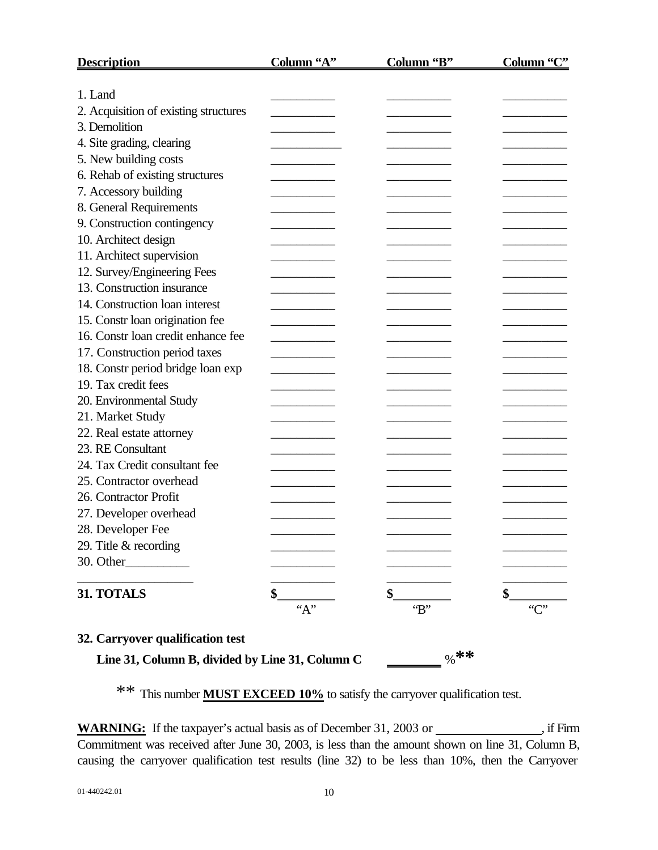| <b>Description</b>                    | Column "A" | Column "B" | Column "C" |
|---------------------------------------|------------|------------|------------|
|                                       |            |            |            |
| 1. Land                               |            |            |            |
| 2. Acquisition of existing structures |            |            |            |
| 3. Demolition                         |            |            |            |
| 4. Site grading, clearing             |            |            |            |
| 5. New building costs                 |            |            |            |
| 6. Rehab of existing structures       |            |            |            |
| 7. Accessory building                 |            |            |            |
| 8. General Requirements               |            |            |            |
| 9. Construction contingency           |            |            |            |
| 10. Architect design                  |            |            |            |
| 11. Architect supervision             |            |            |            |
| 12. Survey/Engineering Fees           |            |            |            |
| 13. Construction insurance            |            |            |            |
| 14. Construction loan interest        |            |            |            |
| 15. Constr loan origination fee       |            |            |            |
| 16. Constr loan credit enhance fee    |            |            |            |
| 17. Construction period taxes         |            |            |            |
| 18. Constr period bridge loan exp     |            |            |            |
| 19. Tax credit fees                   |            |            |            |
| 20. Environmental Study               |            |            |            |
| 21. Market Study                      |            |            |            |
| 22. Real estate attorney              |            |            |            |
| 23. RE Consultant                     |            |            |            |
| 24. Tax Credit consultant fee         |            |            |            |
| 25. Contractor overhead               |            |            |            |
| 26. Contractor Profit                 |            |            |            |
| 27. Developer overhead                |            |            |            |
| 28. Developer Fee                     |            |            |            |
| 29. Title & recording                 |            |            |            |
| 30. Other_                            |            |            |            |
|                                       |            |            |            |
| 31. TOTALS                            |            |            |            |
|                                       | ``A"       | B          | C          |
| 32. Carryover qualification test      |            |            |            |

**Line 31, Column B, divided by Line 31, Column C**  $\qquad \qquad \qquad$  **\*\*** 

\*\* This number **MUST EXCEED 10%** to satisfy the carryover qualification test.

WARNING: If the taxpayer's actual basis as of December 31, 2003 or \_\_\_\_\_\_\_\_\_\_\_\_\_, if Firm Commitment was received after June 30, 2003, is less than the amount shown on line 31, Column B, causing the carryover qualification test results (line 32) to be less than 10%, then the Carryover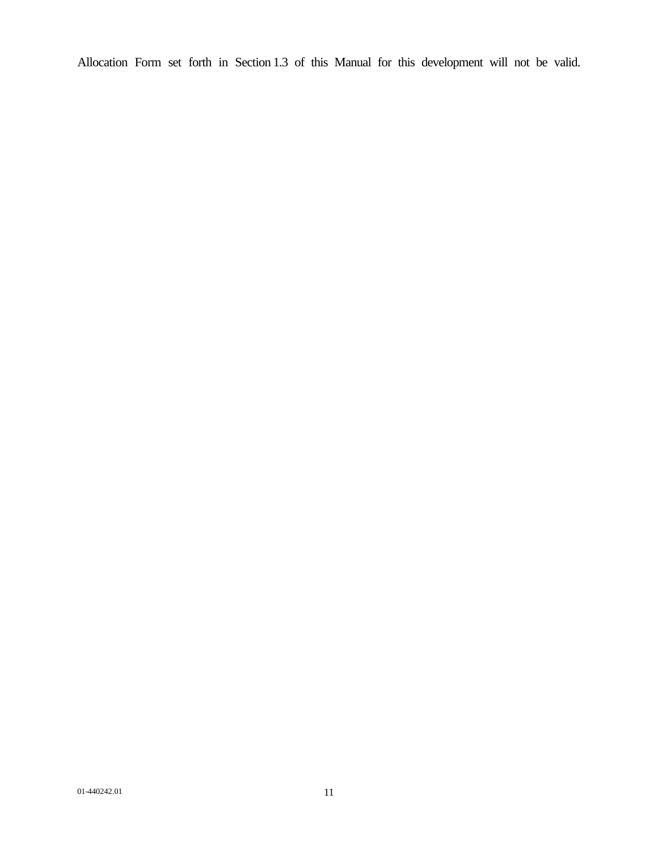Allocation Form set forth in Section 1.3 of this Manual for this development will not be valid.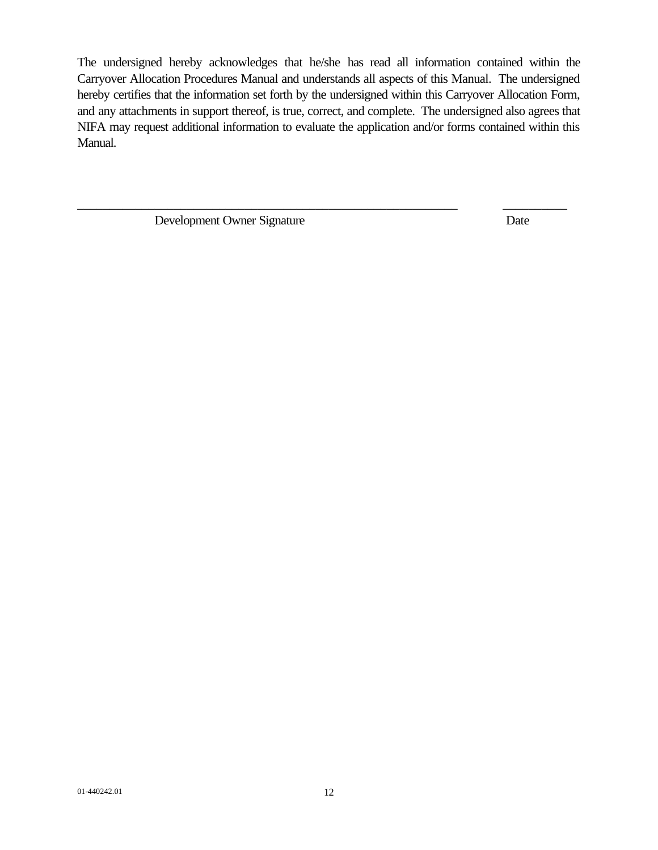The undersigned hereby acknowledges that he/she has read all information contained within the Carryover Allocation Procedures Manual and understands all aspects of this Manual. The undersigned hereby certifies that the information set forth by the undersigned within this Carryover Allocation Form, and any attachments in support thereof, is true, correct, and complete. The undersigned also agrees that NIFA may request additional information to evaluate the application and/or forms contained within this Manual.

\_\_\_\_\_\_\_\_\_\_\_\_\_\_\_\_\_\_\_\_\_\_\_\_\_\_\_\_\_\_\_\_\_\_\_\_\_\_\_\_\_\_\_\_\_\_\_\_\_\_\_\_\_\_\_\_\_\_\_ \_\_\_\_\_\_\_\_\_\_

Development Owner Signature Date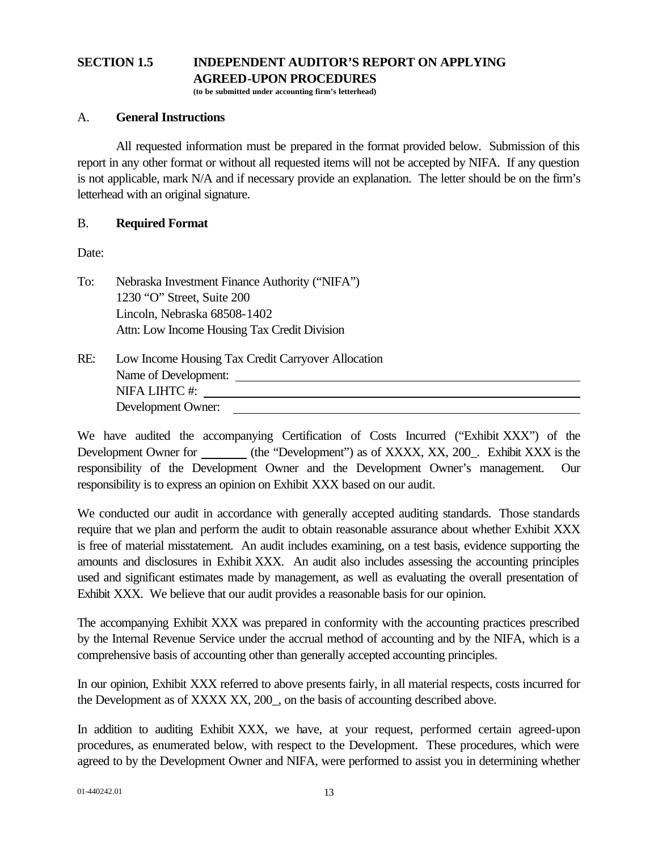# **SECTION 1.5 INDEPENDENT AUDITOR'S REPORT ON APPLYING AGREED-UPON PROCEDURES**

**(to be submitted under accounting firm's letterhead)**

## A. **General Instructions**

All requested information must be prepared in the format provided below. Submission of this report in any other format or without all requested items will not be accepted by NIFA. If any question is not applicable, mark N/A and if necessary provide an explanation. The letter should be on the firm's letterhead with an original signature.

## B. **Required Format**

Date:

To: Nebraska Investment Finance Authority ("NIFA") 1230 "O" Street, Suite 200 Lincoln, Nebraska 68508-1402 Attn: Low Income Housing Tax Credit Division

| RE: | Low Income Housing Tax Credit Carryover Allocation |
|-----|----------------------------------------------------|
|     | Name of Development:                               |
|     | NIFA LIHTC#:                                       |
|     | Development Owner:                                 |
|     |                                                    |

We have audited the accompanying Certification of Costs Incurred ("Exhibit XXX") of the Development Owner for (the "Development") as of XXXX, XX, 200. Exhibit XXX is the responsibility of the Development Owner and the Development Owner's management. Our responsibility is to express an opinion on Exhibit XXX based on our audit.

We conducted our audit in accordance with generally accepted auditing standards. Those standards require that we plan and perform the audit to obtain reasonable assurance about whether Exhibit XXX is free of material misstatement. An audit includes examining, on a test basis, evidence supporting the amounts and disclosures in Exhibit XXX. An audit also includes assessing the accounting principles used and significant estimates made by management, as well as evaluating the overall presentation of Exhibit XXX. We believe that our audit provides a reasonable basis for our opinion.

The accompanying Exhibit XXX was prepared in conformity with the accounting practices prescribed by the Internal Revenue Service under the accrual method of accounting and by the NIFA, which is a comprehensive basis of accounting other than generally accepted accounting principles.

In our opinion, Exhibit XXX referred to above presents fairly, in all material respects, costs incurred for the Development as of XXXX XX, 200\_, on the basis of accounting described above.

In addition to auditing Exhibit XXX, we have, at your request, performed certain agreed-upon procedures, as enumerated below, with respect to the Development. These procedures, which were agreed to by the Development Owner and NIFA, were performed to assist you in determining whether